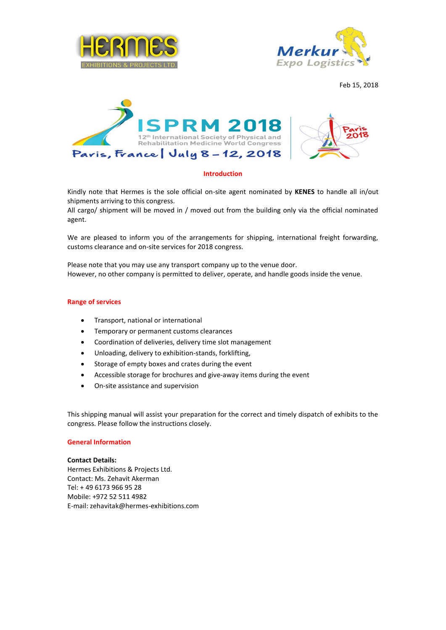



Feb 15, 2018



# **Introduction**

Kindly note that Hermes is the sole official on-site agent nominated by **KENES** to handle all in/out shipments arriving to this congress.

All cargo/ shipment will be moved in / moved out from the building only via the official nominated agent.

We are pleased to inform you of the arrangements for shipping, international freight forwarding, customs clearance and on-site services for 2018 congress.

Please note that you may use any transport company up to the venue door. However, no other company is permitted to deliver, operate, and handle goods inside the venue.

### **Range of services**

- Transport, national or international
- Temporary or permanent customs clearances
- Coordination of deliveries, delivery time slot management
- Unloading, delivery to exhibition-stands, forklifting,
- Storage of empty boxes and crates during the event
- Accessible storage for brochures and give-away items during the event
- On-site assistance and supervision

This shipping manual will assist your preparation for the correct and timely dispatch of exhibits to the congress. Please follow the instructions closely.

## **General Information**

#### **Contact Details:**

Hermes Exhibitions & Projects Ltd. Contact: Ms. Zehavit Akerman Tel: + 49 6173 966 95 28 Mobile: +972 52 511 4982 E-mail: [zehavitak@hermes-exhibitions.com](mailto:zehavitak@hermes-exhibitions.com)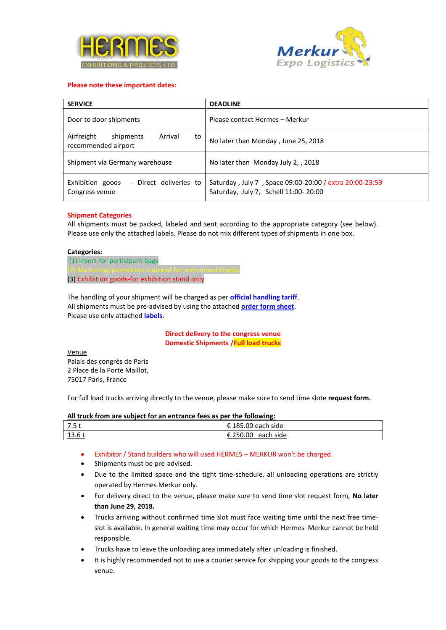



## **Please note these important dates:**

| <b>SERVICE</b>                                                  | <b>DEADLINE</b>                                                                                 |
|-----------------------------------------------------------------|-------------------------------------------------------------------------------------------------|
| Door to door shipments                                          | Please contact Hermes - Merkur                                                                  |
| Airfreight<br>shipments<br>Arrival<br>to<br>recommended airport | No later than Monday, June 25, 2018                                                             |
| Shipment via Germany warehouse                                  | No later than Monday July 2, 2018                                                               |
| Exhibition goods<br>- Direct deliveries to<br>Congress venue    | Saturday, July 7, Space 09:00-20:00 / extra 20:00-23:59<br>Saturday, July 7, Schell 11:00-20:00 |

### **Shipment Categories**

All shipments must be packed, labeled and sent according to the appropriate category (see below). Please use only the attached labels. Please do not mix different types of shipments in one box.

### **Categories:**

(1) Insert-for participant bags (3) Exhibition goods-for exhibition stand only

The handling of your shipment will be charged as per **official handling tariff**. All shipments must be pre-advised by using the attached **[order form sheet](#page-3-0)**. Please use only attached **labels**.

> **Direct delivery to the congress venue Domestic Shipments /Full load trucks**

Venue Palais des congrès de Paris 2 Place de la Porte Maillot, 75017 Paris, France

For full load trucks arriving directly to the venue, please make sure to send time slote **request form.** 

### **All truck from are subject for an entrance fees as per the following:**

| –<br><u></u>        | . .<br>.85.00<br>£195<br>each<br>side |
|---------------------|---------------------------------------|
| 12<br><u>13.0 ເ</u> | :50.00<br>side<br>each                |

- Exhibitor / Stand builders who will used HERMES MERKUR won't be charged.
- Shipments must be pre-advised.
- Due to the limited space and the tight time-schedule, all unloading operations are strictly operated by Hermes Merkur only.
- For delivery direct to the venue, please make sure to send time slot request form, **No later than June 29, 2018.**
- Trucks arriving without confirmed time slot must face waiting time until the next free timeslot is available. In general waiting time may occur for which Hermes Merkur cannot be held responsible.
- Trucks have to leave the unloading area immediately after unloading is finished.
- It is highly recommended not to use a courier service for shipping your goods to the congress venue.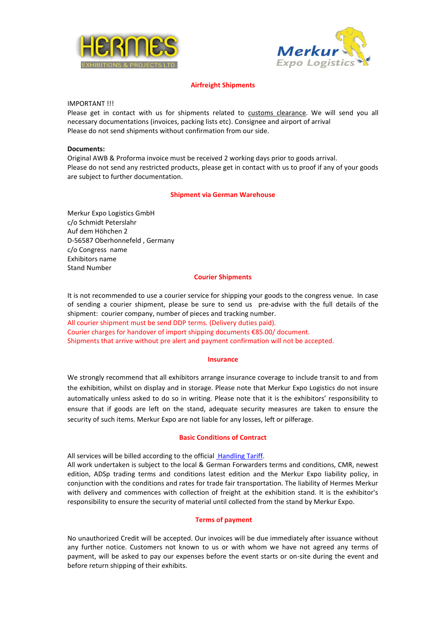



# **Airfreight Shipments**

IMPORTANT !!!

Please get in contact with us for shipments related to customs clearance. We will send you all necessary documentations (invoices, packing lists etc). Consignee and airport of arrival Please do not send shipments without confirmation from our side.

## **Documents:**

Original AWB & Proforma invoice must be received 2 working days prior to goods arrival. Please do not send any restricted products, please get in contact with us to proof if any of your goods are subject to further documentation.

# **Shipment via German Warehouse**

Merkur Expo Logistics GmbH c/o Schmidt Peterslahr Auf dem Höhchen 2 D-56587 Oberhonnefeld , Germany c/o Congress name Exhibitors name Stand Number

### **Courier Shipments**

It is not recommended to use a courier service for shipping your goods to the congress venue. In case of sending a courier shipment, please be sure to send us pre-advise with the full details of the shipment: courier company, number of pieces and tracking number. All courier shipment must be send DDP terms. (Delivery duties paid). Courier charges for handover of import shipping documents €85.00/ document. Shipments that arrive without pre alert and payment confirmation will not be accepted.

### **Insurance**

We strongly recommend that all exhibitors arrange insurance coverage to include transit to and from the exhibition, whilst on display and in storage. Please note that Merkur Expo Logistics do not insure automatically unless asked to do so in writing. Please note that it is the exhibitors' responsibility to ensure that if goods are left on the stand, adequate security measures are taken to ensure the security of such items. Merkur Expo are not liable for any losses, left or pilferage.

### **Basic Conditions of Contract**

All services will be billed according to the official Handling Tariff. All work undertaken is subject to the local & German Forwarders terms and conditions, CMR, newest edition, ADSp trading terms and conditions latest edition and the Merkur Expo liability policy, in conjunction with the conditions and rates for trade fair transportation. The liability of Hermes Merkur with delivery and commences with collection of freight at the exhibition stand. It is the exhibitor's responsibility to ensure the security of material until collected from the stand by Merkur Expo.

### **Terms of payment**

No unauthorized Credit will be accepted. Our invoices will be due immediately after issuance without any further notice. Customers not known to us or with whom we have not agreed any terms of payment, will be asked to pay our expenses before the event starts or on-site during the event and before return shipping of their exhibits.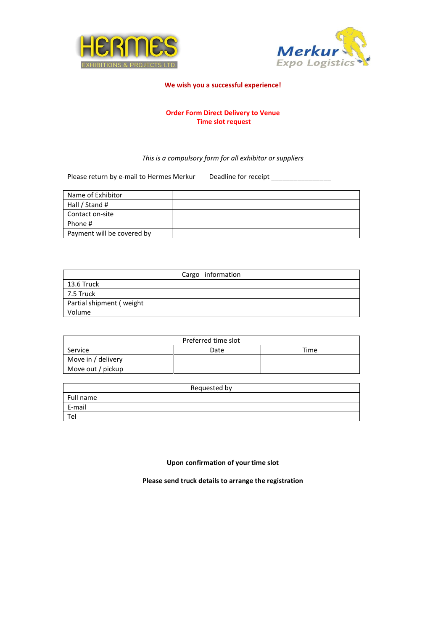



## <span id="page-3-0"></span>**We wish you a successful experience!**

# **Order Form Direct Delivery to Venue Time slot request**

# *This is a compulsory form for all exhibitor or suppliers*

Please return by e-mail to Hermes Merkur Deadline for receipt \_\_\_\_\_\_\_\_\_\_\_\_\_\_\_\_\_\_

| Name of Exhibitor          |  |
|----------------------------|--|
| Hall / Stand #             |  |
| Contact on-site            |  |
| Phone #                    |  |
| Payment will be covered by |  |

| Cargo information        |  |  |
|--------------------------|--|--|
| 13.6 Truck               |  |  |
| 7.5 Truck                |  |  |
| Partial shipment (weight |  |  |
| Volume                   |  |  |

| Preferred time slot |      |      |
|---------------------|------|------|
| Service             | Date | Time |
| Move in / delivery  |      |      |
| Move out / pickup   |      |      |

| Requested by |  |  |
|--------------|--|--|
| Full name    |  |  |
| E-mail       |  |  |
| Ter          |  |  |

**Upon confirmation of your time slot**

**Please send truck details to arrange the registration**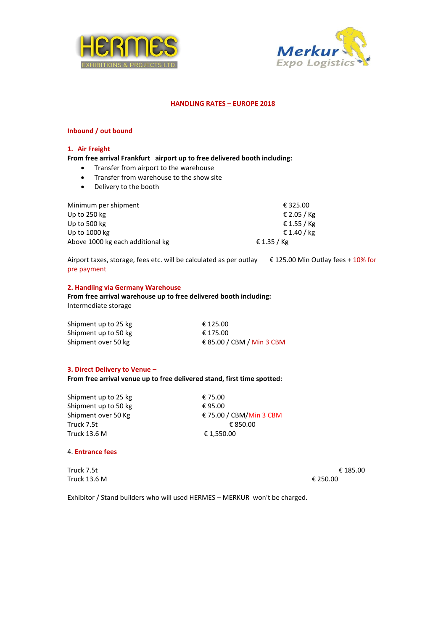



# **HANDLING RATES – EUROPE 2018**

## **Inbound / out bound**

### **1. Air Freight**

## **From free arrival Frankfurt airport up to free delivered booth including:**

- Transfer from airport to the warehouse
- Transfer from warehouse to the show site
- Delivery to the booth

| Minimum per shipment             | € 325.00    |
|----------------------------------|-------------|
| Up to $250$ kg                   | € 2.05 / Kg |
| Up to 500 kg                     | € 1.55 / Kg |
| Up to 1000 kg                    | € 1.40 / kg |
| Above 1000 kg each additional kg | € 1.35 / Kg |

Airport taxes, storage, fees etc. will be calculated as per outlay € 125.00 Min Outlay fees + 10% for pre payment

### **2. Handling via Germany Warehouse**

**From free arrival warehouse up to free delivered booth including:**  Intermediate storage

| Shipment up to 25 kg | € 125.00                  |
|----------------------|---------------------------|
| Shipment up to 50 kg | € 175.00                  |
| Shipment over 50 kg  | € 85.00 / CBM / Min 3 CBM |

# **3. Direct Delivery to Venue –**

**From free arrival venue up to free delivered stand, first time spotted:**

Shipment up to 25 kg  $\epsilon$  75.00 Shipment up to 50 kg  $\epsilon$  95.00 Truck 7.5t  $\epsilon$  850.00 Truck 13.6 M € 1,550.00

Shipment over 50 Kg **€ 75.00 / CBM/Min 3 CBM** 

# 4. **Entrance fees**

Truck 7.5t  $\epsilon$  185.00 Truck 13.6 M  $€ 250.00$ 

Exhibitor / Stand builders who will used HERMES – MERKUR won't be charged.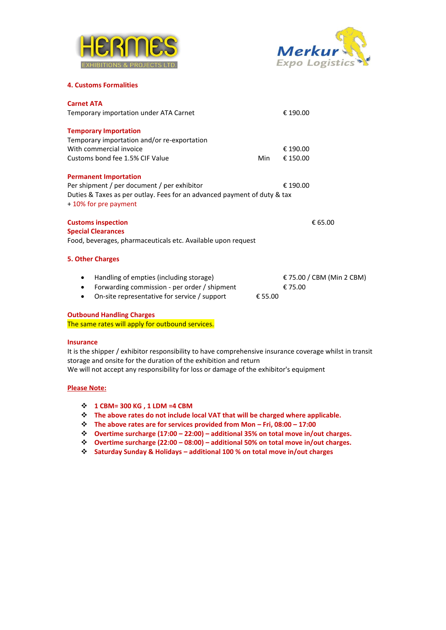



### **4. Customs Formalities**

| <b>Carnet ATA</b>                                                                                |         |                           |
|--------------------------------------------------------------------------------------------------|---------|---------------------------|
| Temporary importation under ATA Carnet                                                           |         | € 190.00                  |
| <b>Temporary Importation</b>                                                                     |         |                           |
| Temporary importation and/or re-exportation                                                      |         |                           |
| With commercial invoice                                                                          |         | € 190.00                  |
| Customs bond fee 1.5% CIF Value                                                                  | Min     | € 150.00                  |
| <b>Permanent Importation</b>                                                                     |         |                           |
| Per shipment / per document / per exhibitor                                                      |         | € 190.00                  |
| Duties & Taxes as per outlay. Fees for an advanced payment of duty & tax<br>+10% for pre payment |         |                           |
| <b>Customs inspection</b>                                                                        |         | € 65.00                   |
| <b>Special Clearances</b>                                                                        |         |                           |
| Food, beverages, pharmaceuticals etc. Available upon request                                     |         |                           |
| <b>5. Other Charges</b>                                                                          |         |                           |
| Handling of empties (including storage)<br>$\bullet$                                             |         | € 75.00 / CBM (Min 2 CBM) |
| Forwarding commission - per order / shipment<br>$\bullet$                                        |         | € 75.00                   |
| On-site representative for service / support<br>٠                                                | € 55.00 |                           |
| <b>Outbound Handling Charges</b>                                                                 |         |                           |

The same rates will apply for outbound services.

# **Insurance**

It is the shipper / exhibitor responsibility to have comprehensive insurance coverage whilst in transit storage and onsite for the duration of the exhibition and return We will not accept any responsibility for loss or damage of the exhibitor's equipment

# **Please Note:**

- ❖ **1 CBM= 300 KG , 1 LDM =4 CBM**
- ❖ **The above rates do not include local VAT that will be charged where applicable.**
- ❖ **The above rates are for services provided from Mon – Fri, 08:00 – 17:00**
- ❖ **Overtime surcharge (17:00 – 22:00) – additional 35% on total move in/out charges.**
- ❖ **Overtime surcharge (22:00 – 08:00) – additional 50% on total move in/out charges.**
- ❖ **Saturday Sunday & Holidays – additional 100 % on total move in/out charges**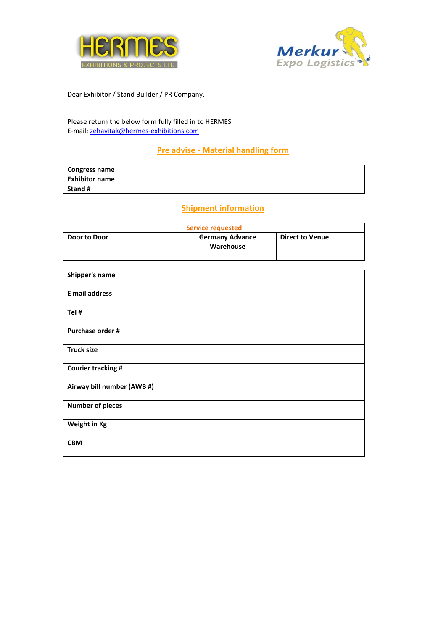



Dear Exhibitor / Stand Builder / PR Company,

Please return the below form fully filled in to HERMES E-mail: [zehavitak@hermes-exhibitions.com](mailto:zehavitak@hermes-exhibitions.com)

# **Pre advise - Material handling form**

| <b>Congress name</b>  |  |
|-----------------------|--|
| <b>Exhibitor name</b> |  |
| Stand #               |  |

# **Shipment information**

| <b>Service requested</b> |                                     |                        |
|--------------------------|-------------------------------------|------------------------|
| Door to Door             | <b>Germany Advance</b><br>Warehouse | <b>Direct to Venue</b> |
|                          |                                     |                        |

| Shipper's name             |  |
|----------------------------|--|
| E mail address             |  |
| Tel #                      |  |
| Purchase order #           |  |
| <b>Truck size</b>          |  |
| <b>Courier tracking #</b>  |  |
| Airway bill number (AWB #) |  |
| <b>Number of pieces</b>    |  |
| Weight in Kg               |  |
| <b>CBM</b>                 |  |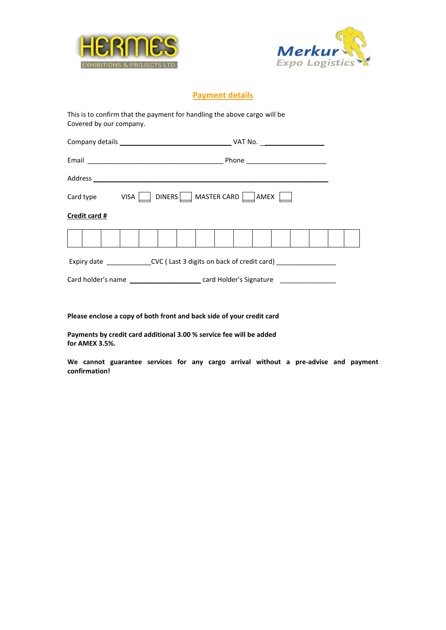



# **Payment details**

This is to confirm that the payment for handling the above cargo will be Covered by our company.

| Card type VISA   DINERS   MASTER CARD   AMEX           |  |  |  |  |  |  |
|--------------------------------------------------------|--|--|--|--|--|--|
| Credit card #                                          |  |  |  |  |  |  |
|                                                        |  |  |  |  |  |  |
| Expiry date CVC (Last 3 digits on back of credit card) |  |  |  |  |  |  |
|                                                        |  |  |  |  |  |  |

**Please enclose a copy of both front and back side of your credit card**

**Payments by credit card additional 3.00 % service fee will be added for AMEX 3.5%.**

**We cannot guarantee services for any cargo arrival without a pre-advise and payment confirmation!**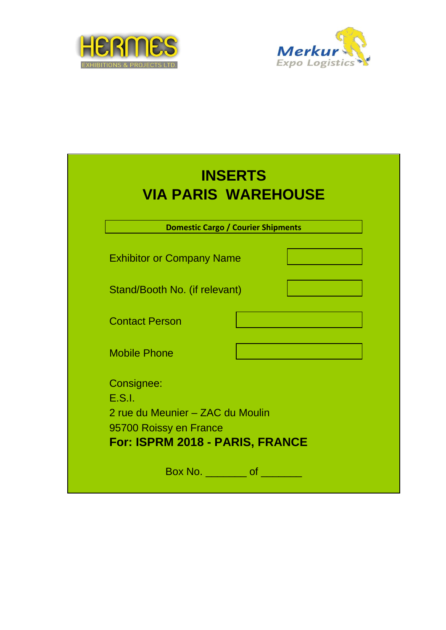



|                                                                                    | <b>Domestic Cargo / Courier Shipments</b> |
|------------------------------------------------------------------------------------|-------------------------------------------|
| <b>Exhibitor or Company Name</b>                                                   |                                           |
| Stand/Booth No. (if relevant)                                                      |                                           |
| <b>Contact Person</b>                                                              |                                           |
| <b>Mobile Phone</b>                                                                |                                           |
| Consignee:<br>E.S.I.<br>2 rue du Meunier - ZAC du Moulin<br>95700 Roissy en France |                                           |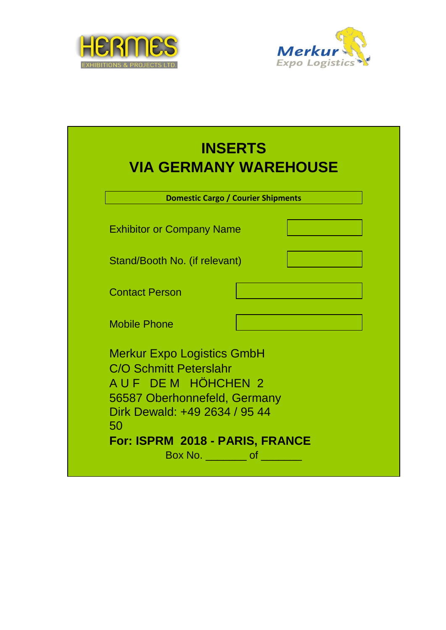



|                                                                                                                                                                                                                                                                                                                                                                                                                                    | <b>INSERTS</b><br><b>VIA GERMANY WAREHOUSE</b> |
|------------------------------------------------------------------------------------------------------------------------------------------------------------------------------------------------------------------------------------------------------------------------------------------------------------------------------------------------------------------------------------------------------------------------------------|------------------------------------------------|
|                                                                                                                                                                                                                                                                                                                                                                                                                                    | <b>Domestic Cargo / Courier Shipments</b>      |
| <b>Exhibitor or Company Name</b>                                                                                                                                                                                                                                                                                                                                                                                                   |                                                |
| Stand/Booth No. (if relevant)                                                                                                                                                                                                                                                                                                                                                                                                      |                                                |
| <b>Contact Person</b>                                                                                                                                                                                                                                                                                                                                                                                                              |                                                |
| <b>Mobile Phone</b>                                                                                                                                                                                                                                                                                                                                                                                                                |                                                |
| <b>Merkur Expo Logistics GmbH</b><br><b>C/O Schmitt Peterslahr</b><br>AUF DEM HÖHCHEN 2<br>56587 Oberhonnefeld, Germany<br>Dirk Dewald: +49 2634 / 95 44<br>50<br>For: ISPRM 2018 - PARIS, FRANCE<br>Box No. 60 of the state of the state of the state of the state of the state of the state of the state of the state of the state of the state of the state of the state of the state of the state of the state of the state of |                                                |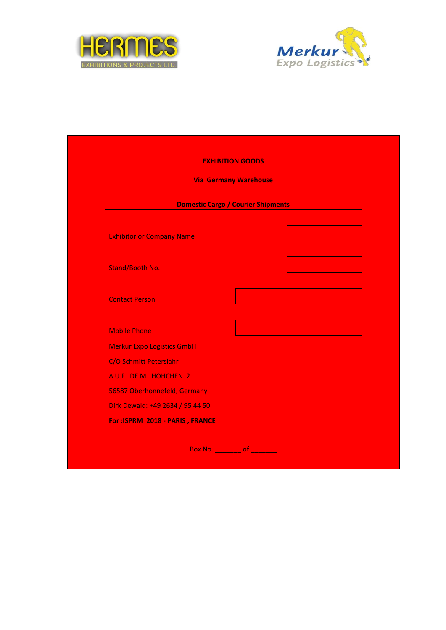



|                                    | <b>EXHIBITION GOODS</b>                   |  |
|------------------------------------|-------------------------------------------|--|
|                                    | <b>Via Germany Warehouse</b>              |  |
|                                    | <b>Domestic Cargo / Courier Shipments</b> |  |
| <b>Exhibitor or Company Name</b>   |                                           |  |
| <b>Stand/Booth No.</b>             |                                           |  |
| <b>Contact Person</b>              |                                           |  |
| <b>Mobile Phone</b>                |                                           |  |
| <b>Merkur Expo Logistics GmbH</b>  |                                           |  |
| C/O Schmitt Peterslahr             |                                           |  |
| AUF DEM HÖHCHEN 2                  |                                           |  |
| 56587 Oberhonnefeld, Germany       |                                           |  |
| Dirk Dewald: +49 2634 / 95 44 50   |                                           |  |
| For: ISPRM 2018 - PARIS, FRANCE    |                                           |  |
| Box No. <u>________</u> of _______ |                                           |  |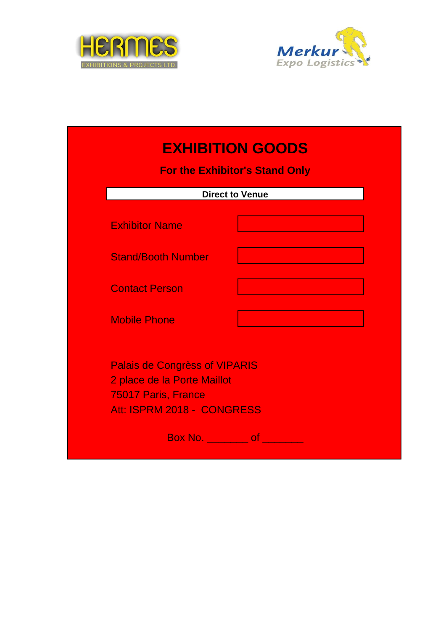



| <b>For the Exhibitor's Stand Only</b>                                                                                    |                        |  |  |
|--------------------------------------------------------------------------------------------------------------------------|------------------------|--|--|
|                                                                                                                          | <b>Direct to Venue</b> |  |  |
| <b>Exhibitor Name</b>                                                                                                    |                        |  |  |
| <b>Stand/Booth Number</b>                                                                                                |                        |  |  |
| <b>Contact Person</b>                                                                                                    |                        |  |  |
| <b>Mobile Phone</b>                                                                                                      |                        |  |  |
| <b>Palais de Congrèss of VIPARIS</b><br>2 place de la Porte Maillot<br>75017 Paris, France<br>Att: ISPRM 2018 - CONGRESS |                        |  |  |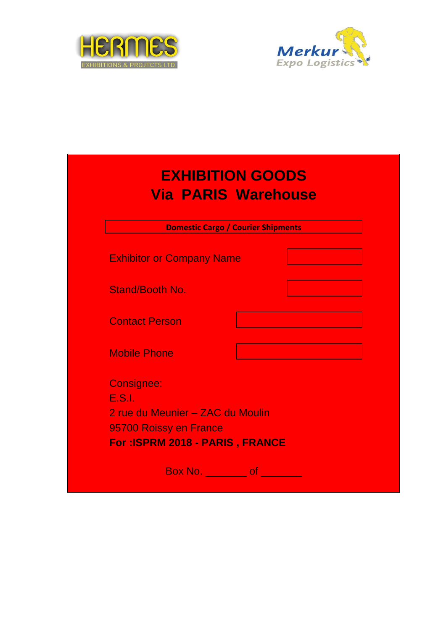



|                                  | <b>Domestic Cargo / Courier Shipments</b> |  |
|----------------------------------|-------------------------------------------|--|
| <b>Exhibitor or Company Name</b> |                                           |  |
| <b>Stand/Booth No.</b>           |                                           |  |
| <b>Contact Person</b>            |                                           |  |
| <b>Mobile Phone</b>              |                                           |  |
| <b>Consignee:</b>                |                                           |  |
| E.S.I.                           |                                           |  |
| 2 rue du Meunier - ZAC du Moulin |                                           |  |
| 95700 Roissy en France           |                                           |  |
| For: ISPRM 2018 - PARIS, FRANCE  |                                           |  |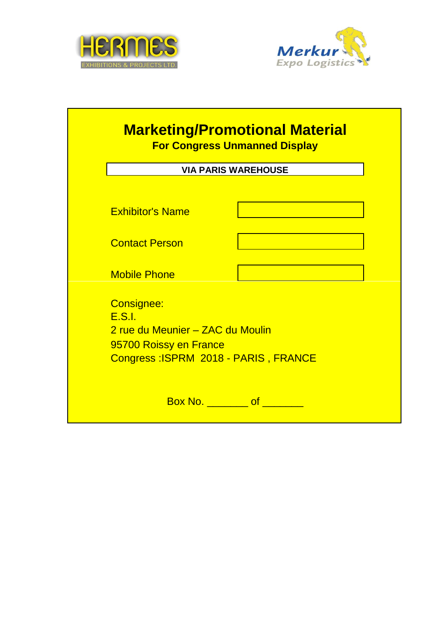



|                                      | <b>VIA PARIS WAREHOUSE</b> |
|--------------------------------------|----------------------------|
|                                      |                            |
| <b>Exhibitor's Name</b>              |                            |
|                                      |                            |
| <b>Contact Person</b>                |                            |
|                                      |                            |
| <b>Mobile Phone</b>                  |                            |
| <b>Consignee:</b>                    |                            |
| E.S.I.                               |                            |
| 2 rue du Meunier – ZAC du Moulin     |                            |
| 95700 Roissy en France               |                            |
| Congress: ISPRM 2018 - PARIS, FRANCE |                            |